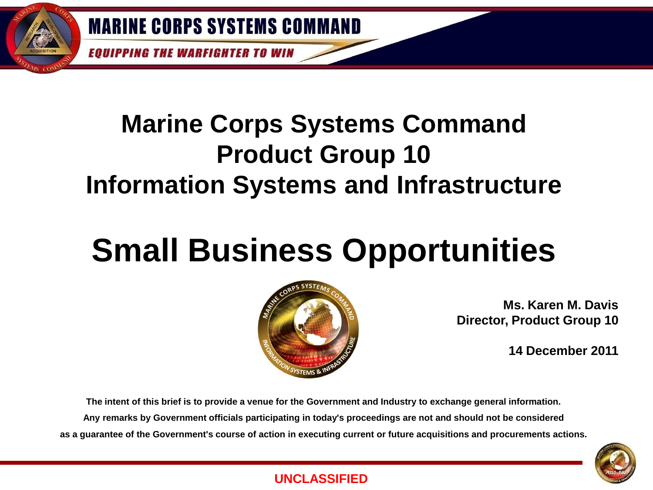**EQUIPPING THE WARFIGHTER TO WIN** 

## **Marine Corps Systems Command Product Group 10 Information Systems and Infrastructure**

## **Small Business Opportunities**



**Ms. Karen M. Davis Director, Product Group 10**

**14 December 2011**

**The intent of this brief is to provide a venue for the Government and Industry to exchange general information. Any remarks by Government officials participating in today's proceedings are not and should not be considered as a guarantee of the Government's course of action in executing current or future acquisitions and procurements actions.**



## **UNCLASSIFIED**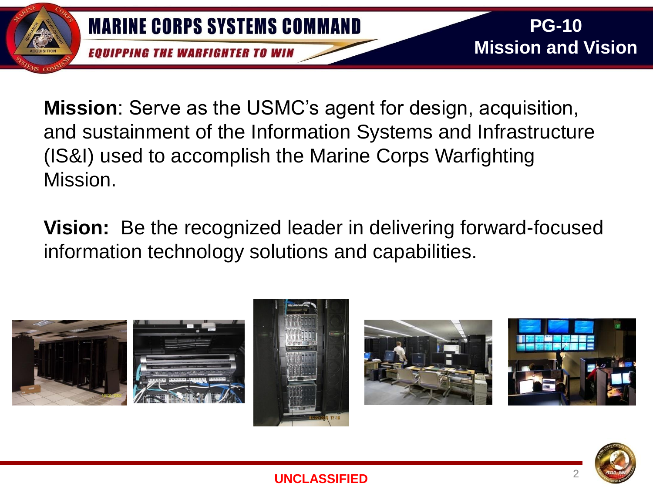

**Mission**: Serve as the USMC's agent for design, acquisition, and sustainment of the Information Systems and Infrastructure (IS&I) used to accomplish the Marine Corps Warfighting Mission.

**Vision:** Be the recognized leader in delivering forward-focused information technology solutions and capabilities.



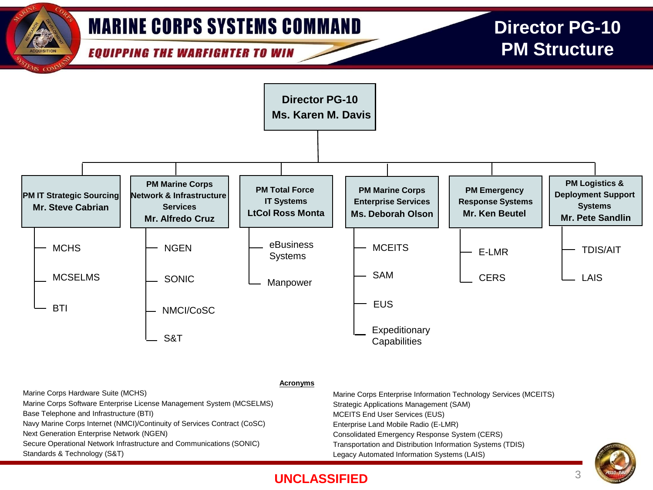

## **UNCLASSIFIED**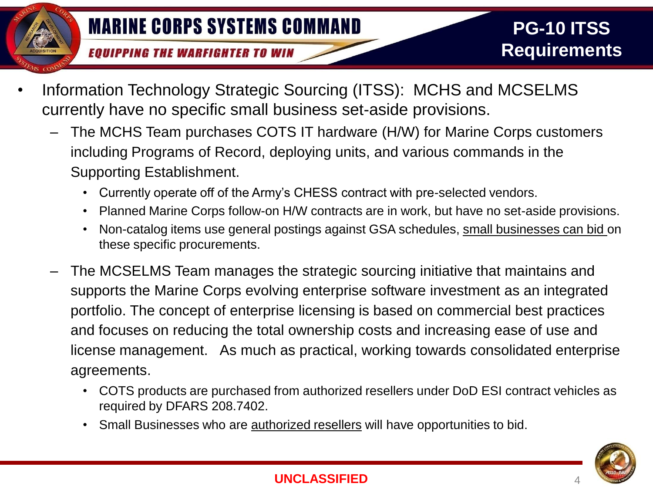- Information Technology Strategic Sourcing (ITSS): MCHS and MCSELMS currently have no specific small business set-aside provisions.
	- The MCHS Team purchases COTS IT hardware (H/W) for Marine Corps customers including Programs of Record, deploying units, and various commands in the Supporting Establishment.
		- Currently operate off of the Army's CHESS contract with pre-selected vendors.
		- Planned Marine Corps follow-on H/W contracts are in work, but have no set-aside provisions.
		- Non-catalog items use general postings against GSA schedules, small businesses can bid on these specific procurements.
	- The MCSELMS Team manages the strategic sourcing initiative that maintains and supports the Marine Corps evolving enterprise software investment as an integrated portfolio. The concept of enterprise licensing is based on commercial best practices and focuses on reducing the total ownership costs and increasing ease of use and license management. As much as practical, working towards consolidated enterprise agreements.
		- COTS products are purchased from authorized resellers under DoD ESI contract vehicles as required by DFARS 208.7402.
		- Small Businesses who are **authorized resellers** will have opportunities to bid.

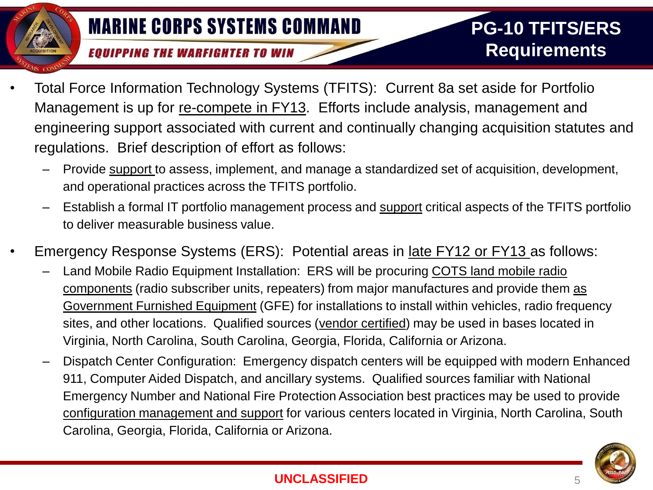- Total Force Information Technology Systems (TFITS): Current 8a set aside for Portfolio Management is up for re-compete in FY13. Efforts include analysis, management and engineering support associated with current and continually changing acquisition statutes and regulations. Brief description of effort as follows:
	- Provide support to assess, implement, and manage a standardized set of acquisition, development, and operational practices across the TFITS portfolio.
	- Establish a formal IT portfolio management process and support critical aspects of the TFITS portfolio to deliver measurable business value.
- Emergency Response Systems (ERS): Potential areas in late FY12 or FY13 as follows:
	- Land Mobile Radio Equipment Installation: ERS will be procuring COTS land mobile radio components (radio subscriber units, repeaters) from major manufactures and provide them as Government Furnished Equipment (GFE) for installations to install within vehicles, radio frequency sites, and other locations. Qualified sources (vendor certified) may be used in bases located in Virginia, North Carolina, South Carolina, Georgia, Florida, California or Arizona.
	- Dispatch Center Configuration: Emergency dispatch centers will be equipped with modern Enhanced 911, Computer Aided Dispatch, and ancillary systems. Qualified sources familiar with National Emergency Number and National Fire Protection Association best practices may be used to provide configuration management and support for various centers located in Virginia, North Carolina, South Carolina, Georgia, Florida, California or Arizona.